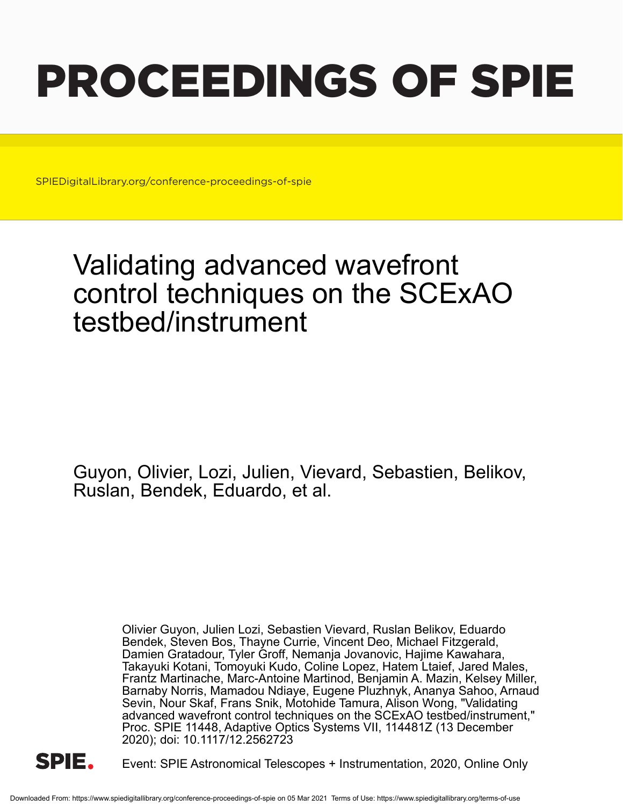# PROCEEDINGS OF SPIE

SPIEDigitalLibrary.org/conference-proceedings-of-spie

## Validating advanced wavefront control techniques on the SCExAO testbed/instrument

Guyon, Olivier, Lozi, Julien, Vievard, Sebastien, Belikov, Ruslan, Bendek, Eduardo, et al.

> Olivier Guyon, Julien Lozi, Sebastien Vievard, Ruslan Belikov, Eduardo Bendek, Steven Bos, Thayne Currie, Vincent Deo, Michael Fitzgerald, Damien Gratadour, Tyler Groff, Nemanja Jovanovic, Hajime Kawahara, Takayuki Kotani, Tomoyuki Kudo, Coline Lopez, Hatem Ltaief, Jared Males, Frantz Martinache, Marc-Antoine Martinod, Benjamin A. Mazin, Kelsey Miller, Barnaby Norris, Mamadou Ndiaye, Eugene Pluzhnyk, Ananya Sahoo, Arnaud Sevin, Nour Skaf, Frans Snik, Motohide Tamura, Alison Wong, "Validating advanced wavefront control techniques on the SCExAO testbed/instrument," Proc. SPIE 11448, Adaptive Optics Systems VII, 114481Z (13 December 2020); doi: 10.1117/12.2562723



Event: SPIE Astronomical Telescopes + Instrumentation, 2020, Online Only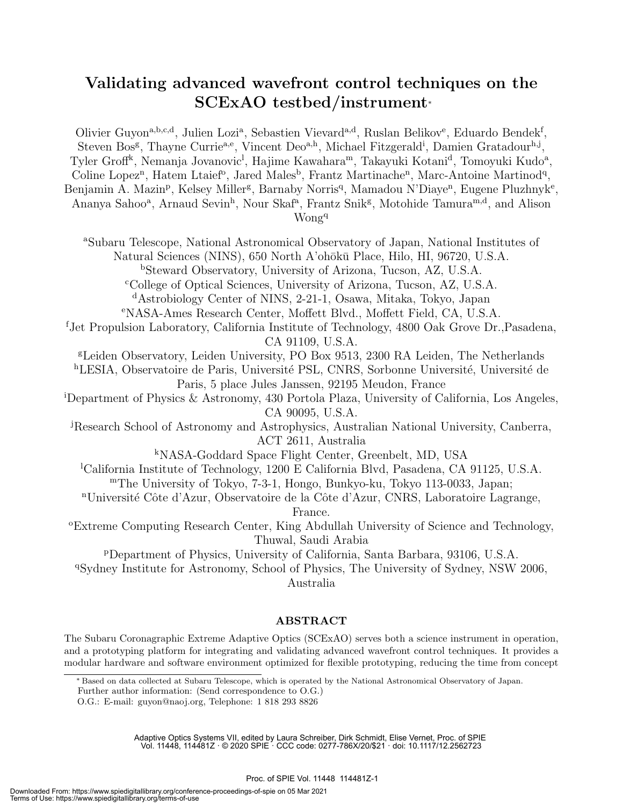### Validating advanced wavefront control techniques on the SCExAO testbed/instrument<sup>∗</sup>

Olivier Guyon<sup>a, b, c, d</sup>, Julien Lozi<sup>a</sup>, Sebastien Vievard<sup>a, d</sup>, Ruslan Belikov<sup>e</sup>, Eduardo Bendek<sup>f</sup>, Steven Bos<sup>g</sup>, Thayne Currie<sup>a, e</sup>, Vincent Deo<sup>a, h</sup>, Michael Fitzgerald<sup>i</sup>, Damien Gratadour<sup>h, j</sup>, Tyler Groff<sup>k</sup>, Nemanja Jovanovic<sup>1</sup>, Hajime Kawahara<sup>m</sup>, Takayuki Kotani<sup>d</sup>, Tomoyuki Kudo<sup>a</sup>, Coline Lopez<sup>n</sup>, Hatem Ltaief<sup>o</sup>, Jared Males<sup>b</sup>, Frantz Martinache<sup>n</sup>, Marc-Antoine Martinod<sup>q</sup>, Benjamin A. Mazin<sup>p</sup>, Kelsey Miller<sup>g</sup>, Barnaby Norris<sup>q</sup>, Mamadou N'Diaye<sup>n</sup>, Eugene Pluzhnyk<sup>e</sup>, Ananya Sahoo<sup>a</sup>, Arnaud Sevin<sup>h</sup>, Nour Skaf<sup>a</sup>, Frantz Snik<sup>g</sup>, Motohide Tamura<sup>m,d</sup>, and Alison Wongq

<sup>a</sup>Subaru Telescope, National Astronomical Observatory of Japan, National Institutes of Natural Sciences (NINS), 650 North A'ohōkū Place, Hilo, HI, 96720, U.S.A. <sup>b</sup>Steward Observatory, University of Arizona, Tucson, AZ, U.S.A.

<sup>c</sup>College of Optical Sciences, University of Arizona, Tucson, AZ, U.S.A.

<sup>d</sup>Astrobiology Center of NINS, 2-21-1, Osawa, Mitaka, Tokyo, Japan <sup>e</sup>NASA-Ames Research Center, Moffett Blvd., Moffett Field, CA, U.S.A.

<sup>f</sup>Jet Propulsion Laboratory, California Institute of Technology, 4800 Oak Grove Dr.,Pasadena, CA 91109, U.S.A.

<sup>g</sup>Leiden Observatory, Leiden University, PO Box 9513, 2300 RA Leiden, The Netherlands

<sup>h</sup>LESIA, Observatoire de Paris, Université PSL, CNRS, Sorbonne Université, Université de Paris, 5 place Jules Janssen, 92195 Meudon, France

<sup>i</sup>Department of Physics & Astronomy, 430 Portola Plaza, University of California, Los Angeles, CA 90095, U.S.A.

<sup>j</sup>Research School of Astronomy and Astrophysics, Australian National University, Canberra, ACT 2611, Australia

<sup>k</sup>NASA-Goddard Space Flight Center, Greenbelt, MD, USA

<sup>l</sup>California Institute of Technology, 1200 E California Blvd, Pasadena, CA 91125, U.S.A.

<sup>m</sup>The University of Tokyo, 7-3-1, Hongo, Bunkyo-ku, Tokyo 113-0033, Japan;

<sup>n</sup>Université Côte d'Azur, Observatoire de la Côte d'Azur, CNRS, Laboratoire Lagrange, France.

<sup>o</sup>Extreme Computing Research Center, King Abdullah University of Science and Technology, Thuwal, Saudi Arabia

<sup>p</sup>Department of Physics, University of California, Santa Barbara, 93106, U.S.A.

<sup>q</sup>Sydney Institute for Astronomy, School of Physics, The University of Sydney, NSW 2006, Australia

#### ABSTRACT

The Subaru Coronagraphic Extreme Adaptive Optics (SCExAO) serves both a science instrument in operation, and a prototyping platform for integrating and validating advanced wavefront control techniques. It provides a modular hardware and software environment optimized for flexible prototyping, reducing the time from concept

<sup>∗</sup> Based on data collected at Subaru Telescope, which is operated by the National Astronomical Observatory of Japan.

Adaptive Optics Systems VII, edited by Laura Schreiber, Dirk Schmidt, Elise Vernet, Proc. of SPIE Vol. 11448, 114481Z · © 2020 SPIE · CCC code: 0277-786X/20/\$21 · doi: 10.1117/12.2562723

Further author information: (Send correspondence to O.G.)

O.G.: E-mail: guyon@naoj.org, Telephone: 1 818 293 8826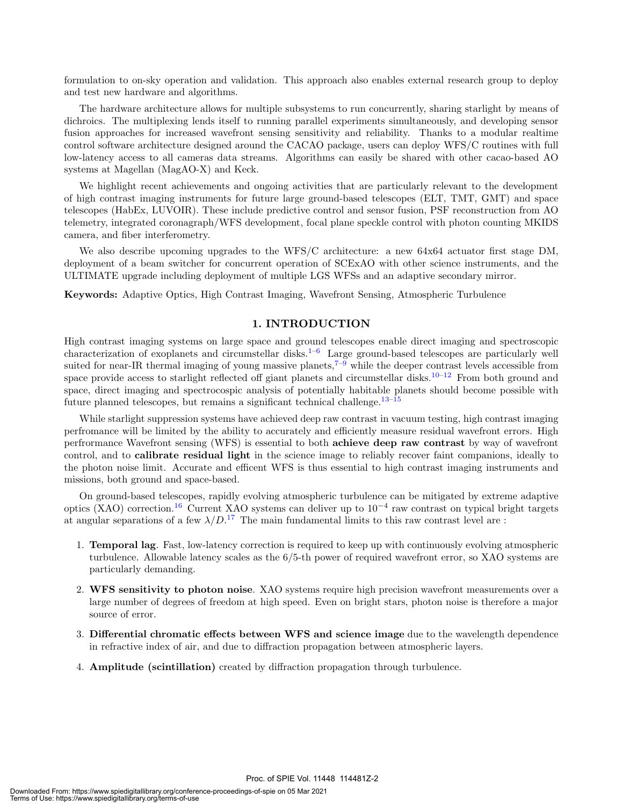formulation to on-sky operation and validation. This approach also enables external research group to deploy and test new hardware and algorithms.

The hardware architecture allows for multiple subsystems to run concurrently, sharing starlight by means of dichroics. The multiplexing lends itself to running parallel experiments simultaneously, and developing sensor fusion approaches for increased wavefront sensing sensitivity and reliability. Thanks to a modular realtime control software architecture designed around the CACAO package, users can deploy WFS/C routines with full low-latency access to all cameras data streams. Algorithms can easily be shared with other cacao-based AO systems at Magellan (MagAO-X) and Keck.

We highlight recent achievements and ongoing activities that are particularly relevant to the development of high contrast imaging instruments for future large ground-based telescopes (ELT, TMT, GMT) and space telescopes (HabEx, LUVOIR). These include predictive control and sensor fusion, PSF reconstruction from AO telemetry, integrated coronagraph/WFS development, focal plane speckle control with photon counting MKIDS camera, and fiber interferometry.

We also describe upcoming upgrades to the WFS/C architecture: a new 64x64 actuator first stage DM, deployment of a beam switcher for concurrent operation of SCExAO with other science instruments, and the ULTIMATE upgrade including deployment of multiple LGS WFSs and an adaptive secondary mirror.

Keywords: Adaptive Optics, High Contrast Imaging, Wavefront Sensing, Atmospheric Turbulence

#### 1. INTRODUCTION

High contrast imaging systems on large space and ground telescopes enable direct imaging and spectroscopic characterization of exoplanets and circumstellar disks.<sup>1–6</sup> Large ground-based telescopes are particularly well suited for near-IR thermal imaging of young massive planets,  $7-\frac{9}{9}$  while the deeper contrast levels accessible from space provide access to starlight reflected off giant planets and circumstellar disks.<sup>10–12</sup> From both ground and space, direct imaging and spectrocospic analysis of potentially habitable planets should become possible with future planned telescopes, but remains a significant technical challenge.  $13-15$ 

While starlight suppression systems have achieved deep raw contrast in vacuum testing, high contrast imaging perfromance will be limited by the ability to accurately and efficiently measure residual wavefront errors. High perfrormance Wavefront sensing (WFS) is essential to both achieve deep raw contrast by way of wavefront control, and to calibrate residual light in the science image to reliably recover faint companions, ideally to the photon noise limit. Accurate and efficent WFS is thus essential to high contrast imaging instruments and missions, both ground and space-based.

On ground-based telescopes, rapidly evolving atmospheric turbulence can be mitigated by extreme adaptive optics (XAO) correction.<sup>16</sup> Current XAO systems can deliver up to  $10^{-4}$  raw contrast on typical bright targets at angular separations of a few  $\lambda/D$ .<sup>17</sup> The main fundamental limits to this raw contrast level are :

- 1. Temporal lag. Fast, low-latency correction is required to keep up with continuously evolving atmospheric turbulence. Allowable latency scales as the 6/5-th power of required wavefront error, so XAO systems are particularly demanding.
- 2. WFS sensitivity to photon noise. XAO systems require high precision wavefront measurements over a large number of degrees of freedom at high speed. Even on bright stars, photon noise is therefore a major source of error.
- 3. Differential chromatic effects between WFS and science image due to the wavelength dependence in refractive index of air, and due to diffraction propagation between atmospheric layers.
- 4. Amplitude (scintillation) created by diffraction propagation through turbulence.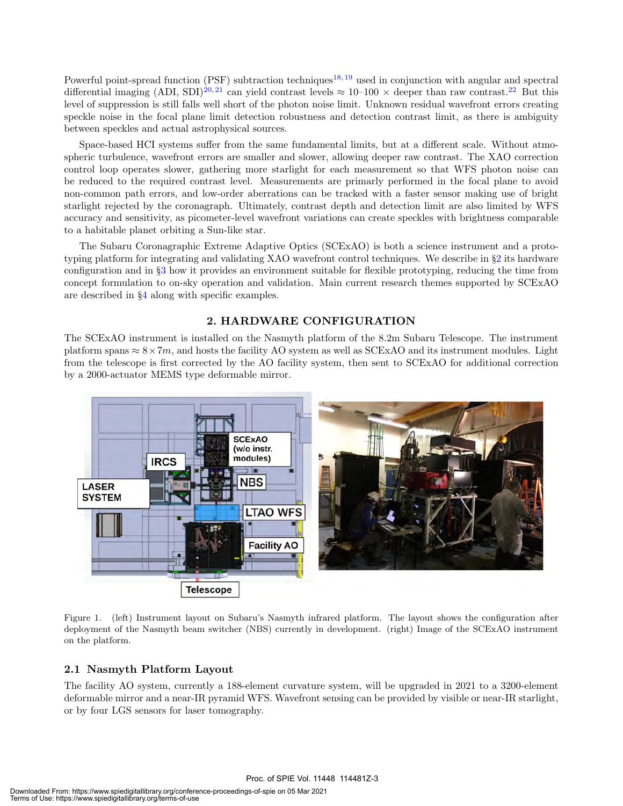Powerful point-spread function (PSF) subtraction techniques<sup>18, 19</sup> used in conjunction with angular and spectral differential imaging (ADI, SDI)<sup>20, 21</sup> can yield contrast levels  $\approx 10$ –100  $\times$  deeper than raw contrast.<sup>22</sup> But this level of suppression is still falls well short of the photon noise limit. Unknown residual wavefront errors creating speckle noise in the focal plane limit detection robustness and detection contrast limit, as there is ambiguity between speckles and actual astrophysical sources.

Space-based HCI systems suffer from the same fundamental limits, but at a different scale. Without atmospheric turbulence, wavefront errors are smaller and slower, allowing deeper raw contrast. The XAO correction control loop operates slower, gathering more starlight for each measurement so that WFS photon noise can be reduced to the required contrast level. Measurements are primarly performed in the focal plane to avoid non-common path errors, and low-order aberrations can be tracked with a faster sensor making use of bright starlight rejected by the coronagraph. Ultimately, contrast depth and detection limit are also limited by WFS accuracy and sensitivity, as picometer-level wavefront variations can create speckles with brightness comparable to a habitable planet orbiting a Sun-like star.

The Subaru Coronagraphic Extreme Adaptive Optics (SCExAO) is both a science instrument and a prototyping platform for integrating and validating XAO wavefront control techniques. We describe in §2 its hardware configuration and in §3 how it provides an environment suitable for flexible prototyping, reducing the time from concept formulation to on-sky operation and validation. Main current research themes supported by SCExAO are described in §4 along with specific examples.

#### 2. HARDWARE CONFIGURATION

The SCExAO instrument is installed on the Nasmyth platform of the 8.2m Subaru Telescope. The instrument platform spans  $\approx 8 \times 7m$ , and hosts the facility AO system as well as SCExAO and its instrument modules. Light from the telescope is first corrected by the AO facility system, then sent to SCExAO for additional correction by a 2000-actuator MEMS type deformable mirror.



Figure 1. (left) Instrument layout on Subaru's Nasmyth infrared platform. The layout shows the configuration after deployment of the Nasmyth beam switcher (NBS) currently in development. (right) Image of the SCExAO instrument on the platform.

#### 2.1 Nasmyth Platform Layout

The facility AO system, currently a 188-element curvature system, will be upgraded in 2021 to a 3200-element deformable mirror and a near-IR pyramid WFS. Wavefront sensing can be provided by visible or near-IR starlight, or by four LGS sensors for laser tomography.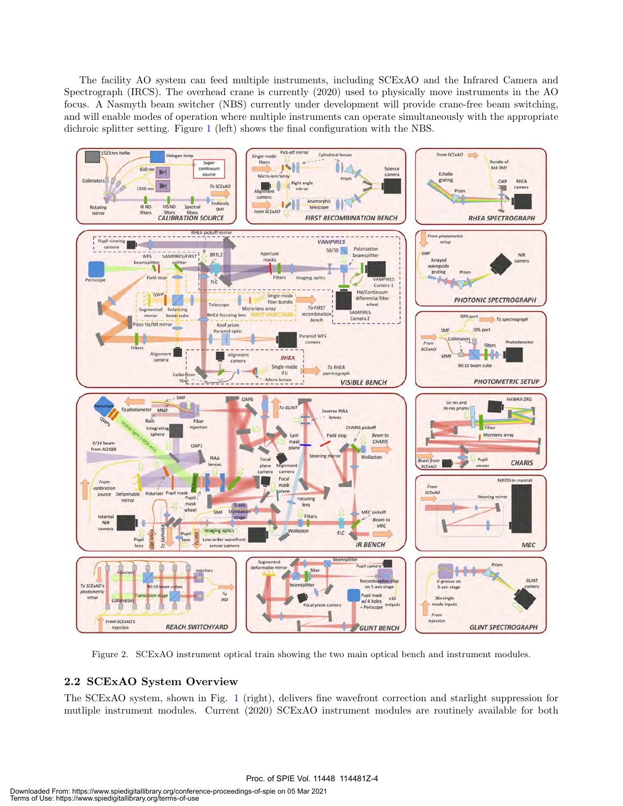The facility AO system can feed multiple instruments, including SCExAO and the Infrared Camera and Spectrograph (IRCS). The overhead crane is currently (2020) used to physically move instruments in the AO focus. A Nasmyth beam switcher (NBS) currently under development will provide crane-free beam switching, and will enable modes of operation where multiple instruments can operate simultaneously with the appropriate dichroic splitter setting. Figure 1 (left) shows the final configuration with the NBS.



Figure 2. SCExAO instrument optical train showing the two main optical bench and instrument modules.

#### 2.2 SCExAO System Overview

The SCExAO system, shown in Fig. 1 (right), delivers fine wavefront correction and starlight suppression for mutliple instrument modules. Current (2020) SCExAO instrument modules are routinely available for both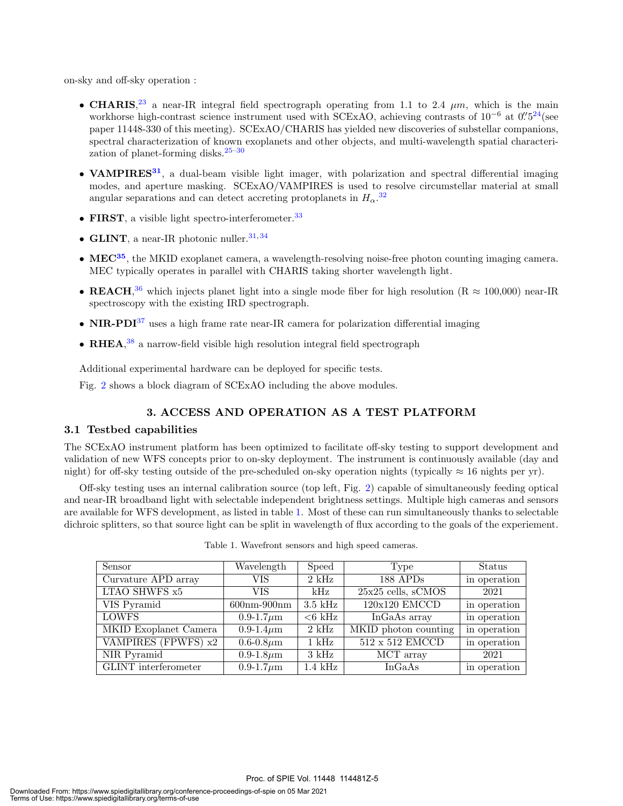on-sky and off-sky operation :

- CHARIS,<sup>23</sup> a near-IR integral field spectrograph operating from 1.1 to 2.4  $\mu$ m, which is the main workhorse high-contrast science instrument used with SCExAO, achieving contrasts of  $10^{-6}$  at  $0.524$  (see paper 11448-330 of this meeting). SCExAO/CHARIS has yielded new discoveries of substellar companions, spectral characterization of known exoplanets and other objects, and multi-wavelength spatial characterization of planet-forming disks. $25-30$
- VAMPIRES<sup>31</sup>, a dual-beam visible light imager, with polarization and spectral differential imaging modes, and aperture masking. SCExAO/VAMPIRES is used to resolve circumstellar material at small angular separations and can detect accreting protoplanets in  $H_0$ <sup>32</sup>
- FIRST, a visible light spectro-interferometer.  $33$
- GLINT, a near-IR photonic nuller.  $31,34$
- $MEC<sup>35</sup>$ , the MKID exoplanet camera, a wavelength-resolving noise-free photon counting imaging camera. MEC typically operates in parallel with CHARIS taking shorter wavelength light.
- REACH,<sup>36</sup> which injects planet light into a single mode fiber for high resolution (R  $\approx 100,000$ ) near-IR spectroscopy with the existing IRD spectrograph.
- NIR-PDI $^{37}$  uses a high frame rate near-IR camera for polarization differential imaging
- RHEA,<sup>38</sup> a narrow-field visible high resolution integral field spectrograph

Additional experimental hardware can be deployed for specific tests.

Fig. 2 shows a block diagram of SCExAO including the above modules.

#### 3. ACCESS AND OPERATION AS A TEST PLATFORM

#### 3.1 Testbed capabilities

The SCExAO instrument platform has been optimized to facilitate off-sky testing to support development and validation of new WFS concepts prior to on-sky deployment. The instrument is continuously available (day and night) for off-sky testing outside of the pre-scheduled on-sky operation nights (typically  $\approx 16$  nights per yr).

Off-sky testing uses an internal calibration source (top left, Fig. 2) capable of simultaneously feeding optical and near-IR broadband light with selectable independent brightness settings. Multiple high cameras and sensors are available for WFS development, as listed in table 1. Most of these can run simultaneously thanks to selectable dichroic splitters, so that source light can be split in wavelength of flux according to the goals of the experiement.

| Sensor                      | Wavelength        | Speed             | Type                   | Status       |
|-----------------------------|-------------------|-------------------|------------------------|--------------|
| Curvature APD array         | VIS               | $2 \text{ kHz}$   | 188 APDs               | in operation |
| LTAO SHWFS x5               | VIS               | kHz               | $25x25$ cells, $sCMOS$ | 2021         |
| VIS Pyramid                 | $600nm-900nm$     | $3.5$ kHz         | $120x120$ EMCCD        | in operation |
| <b>LOWFS</b>                | 0.9-1.7 $\mu$ m   | $<6$ kHz          | InGaAs array           | in operation |
| MKID Exoplanet Camera       | 0.9-1.4 $\mu$ m   | $2 \text{ kHz}$   | MKID photon counting   | in operation |
| VAMPIRES (FPWFS) x2         | $0.6 - 0.8 \mu m$ | $1$ kHz           | $512 \times 512$ EMCCD | in operation |
| NIR Pyramid                 | $0.9 - 1.8 \mu m$ | $3 \text{ kHz}$   | MCT array              | 2021         |
| <b>GLINT</b> interferometer | $0.9 - 1.7 \mu m$ | $1.4 \text{ kHz}$ | InGaAs                 | in operation |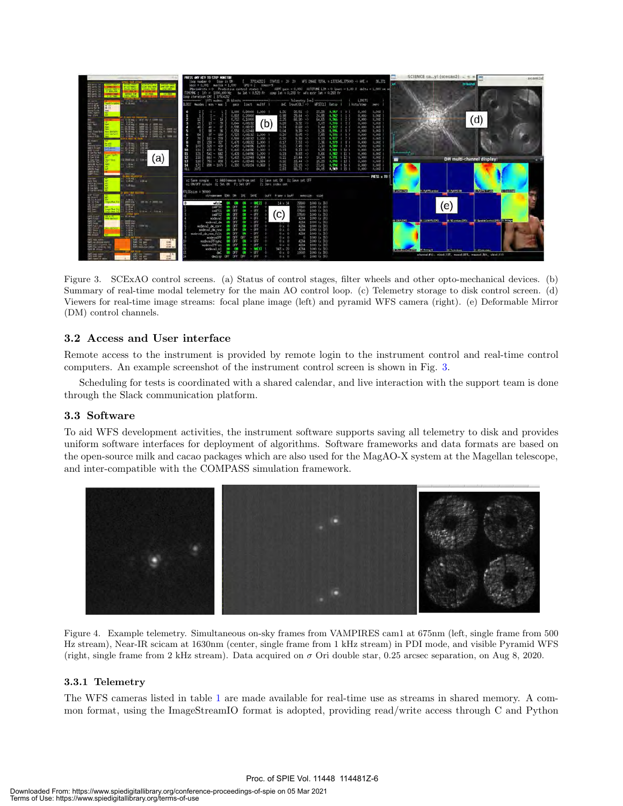

Figure 3. SCExAO control screens. (a) Status of control stages, filter wheels and other opto-mechanical devices. (b) Summary of real-time modal telemetry for the main AO control loop. (c) Telemetry storage to disk control screen. (d) Viewers for real-time image streams: focal plane image (left) and pyramid WFS camera (right). (e) Deformable Mirror (DM) control channels.

#### 3.2 Access and User interface

Remote access to the instrument is provided by remote login to the instrument control and real-time control computers. An example screenshot of the instrument control screen is shown in Fig. 3.

Scheduling for tests is coordinated with a shared calendar, and live interaction with the support team is done through the Slack communication platform.

#### 3.3 Software

To aid WFS development activities, the instrument software supports saving all telemetry to disk and provides uniform software interfaces for deployment of algorithms. Software frameworks and data formats are based on the open-source milk and cacao packages which are also used for the MagAO-X system at the Magellan telescope, and inter-compatible with the COMPASS simulation framework.



Figure 4. Example telemetry. Simultaneous on-sky frames from VAMPIRES cam1 at 675nm (left, single frame from 500 Hz stream), Near-IR scicam at 1630nm (center, single frame from 1 kHz stream) in PDI mode, and visible Pyramid WFS (right, single frame from 2 kHz stream). Data acquired on  $\sigma$  Ori double star, 0.25 arcsec separation, on Aug 8, 2020.

#### 3.3.1 Telemetry

The WFS cameras listed in table 1 are made available for real-time use as streams in shared memory. A common format, using the ImageStreamIO format is adopted, providing read/write access through C and Python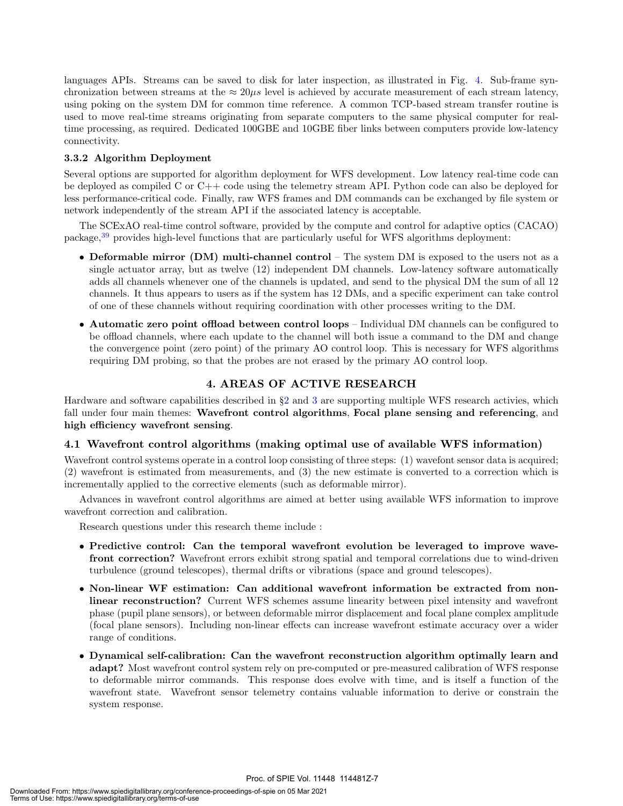languages APIs. Streams can be saved to disk for later inspection, as illustrated in Fig. 4. Sub-frame synchronization between streams at the  $\approx 20\mu s$  level is achieved by accurate measurement of each stream latency, using poking on the system DM for common time reference. A common TCP-based stream transfer routine is used to move real-time streams originating from separate computers to the same physical computer for realtime processing, as required. Dedicated 100GBE and 10GBE fiber links between computers provide low-latency connectivity.

#### 3.3.2 Algorithm Deployment

Several options are supported for algorithm deployment for WFS development. Low latency real-time code can be deployed as compiled C or  $C_{++}$  code using the telemetry stream API. Python code can also be deployed for less performance-critical code. Finally, raw WFS frames and DM commands can be exchanged by file system or network independently of the stream API if the associated latency is acceptable.

The SCExAO real-time control software, provided by the compute and control for adaptive optics (CACAO) package,<sup>39</sup> provides high-level functions that are particularly useful for WFS algorithms deployment:

- Deformable mirror (DM) multi-channel control The system DM is exposed to the users not as a single actuator array, but as twelve (12) independent DM channels. Low-latency software automatically adds all channels whenever one of the channels is updated, and send to the physical DM the sum of all 12 channels. It thus appears to users as if the system has 12 DMs, and a specific experiment can take control of one of these channels without requiring coordination with other processes writing to the DM.
- Automatic zero point offload between control loops Individual DM channels can be configured to be offload channels, where each update to the channel will both issue a command to the DM and change the convergence point (zero point) of the primary AO control loop. This is necessary for WFS algorithms requiring DM probing, so that the probes are not erased by the primary AO control loop.

#### 4. AREAS OF ACTIVE RESEARCH

Hardware and software capabilities described in §2 and 3 are supporting multiple WFS research activies, which fall under four main themes: Wavefront control algorithms, Focal plane sensing and referencing, and high efficiency wavefront sensing.

#### 4.1 Wavefront control algorithms (making optimal use of available WFS information)

Wavefront control systems operate in a control loop consisting of three steps: (1) wavefont sensor data is acquired; (2) wavefront is estimated from measurements, and (3) the new estimate is converted to a correction which is incrementally applied to the corrective elements (such as deformable mirror).

Advances in wavefront control algorithms are aimed at better using available WFS information to improve wavefront correction and calibration.

Research questions under this research theme include :

- Predictive control: Can the temporal wavefront evolution be leveraged to improve wavefront correction? Wavefront errors exhibit strong spatial and temporal correlations due to wind-driven turbulence (ground telescopes), thermal drifts or vibrations (space and ground telescopes).
- Non-linear WF estimation: Can additional wavefront information be extracted from nonlinear reconstruction? Current WFS schemes assume linearity between pixel intensity and wavefront phase (pupil plane sensors), or between deformable mirror displacement and focal plane complex amplitude (focal plane sensors). Including non-linear effects can increase wavefront estimate accuracy over a wider range of conditions.
- Dynamical self-calibration: Can the wavefront reconstruction algorithm optimally learn and adapt? Most wavefront control system rely on pre-computed or pre-measured calibration of WFS response to deformable mirror commands. This response does evolve with time, and is itself a function of the wavefront state. Wavefront sensor telemetry contains valuable information to derive or constrain the system response.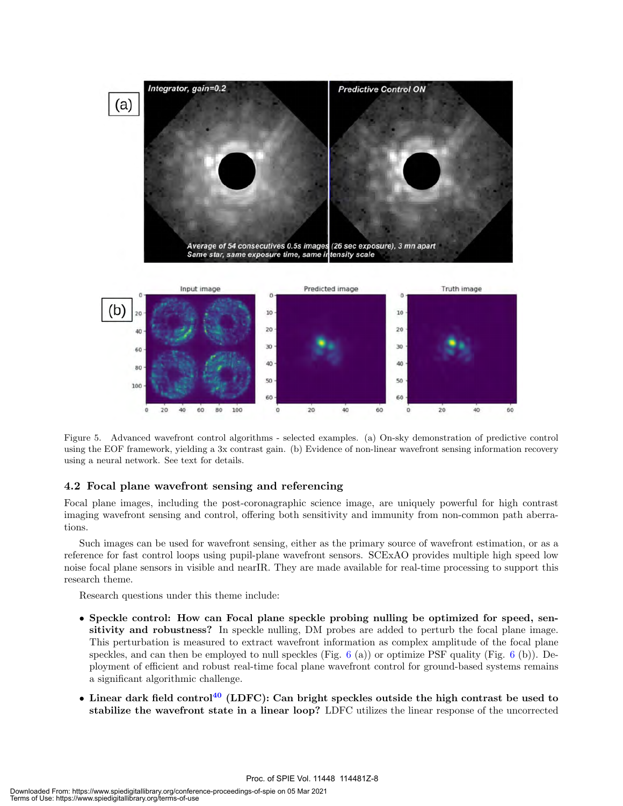

Figure 5. Advanced wavefront control algorithms - selected examples. (a) On-sky demonstration of predictive control using the EOF framework, yielding a 3x contrast gain. (b) Evidence of non-linear wavefront sensing information recovery using a neural network. See text for details.

#### 4.2 Focal plane wavefront sensing and referencing

Focal plane images, including the post-coronagraphic science image, are uniquely powerful for high contrast imaging wavefront sensing and control, offering both sensitivity and immunity from non-common path aberrations.

Such images can be used for wavefront sensing, either as the primary source of wavefront estimation, or as a reference for fast control loops using pupil-plane wavefront sensors. SCExAO provides multiple high speed low noise focal plane sensors in visible and nearIR. They are made available for real-time processing to support this research theme.

Research questions under this theme include:

- Speckle control: How can Focal plane speckle probing nulling be optimized for speed, sensitivity and robustness? In speckle nulling, DM probes are added to perturb the focal plane image. This perturbation is measured to extract wavefront information as complex amplitude of the focal plane speckles, and can then be employed to null speckles (Fig.  $6$  (a)) or optimize PSF quality (Fig.  $6$  (b)). Deployment of efficient and robust real-time focal plane wavefront control for ground-based systems remains a significant algorithmic challenge.
- Linear dark field control<sup>40</sup> (LDFC): Can bright speckles outside the high contrast be used to stabilize the wavefront state in a linear loop? LDFC utilizes the linear response of the uncorrected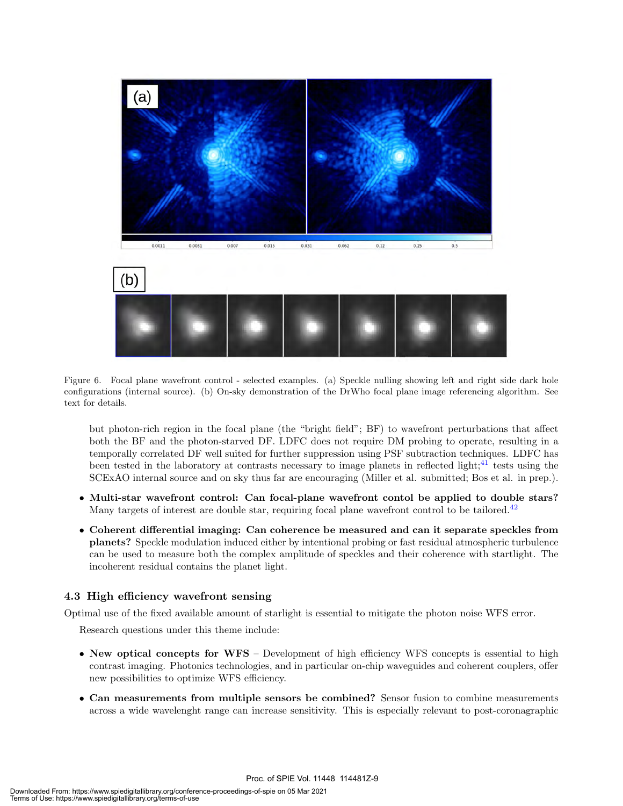

Figure 6. Focal plane wavefront control - selected examples. (a) Speckle nulling showing left and right side dark hole configurations (internal source). (b) On-sky demonstration of the DrWho focal plane image referencing algorithm. See text for details.

but photon-rich region in the focal plane (the "bright field"; BF) to wavefront perturbations that affect both the BF and the photon-starved DF. LDFC does not require DM probing to operate, resulting in a temporally correlated DF well suited for further suppression using PSF subtraction techniques. LDFC has been tested in the laboratory at contrasts necessary to image planets in reflected light; $^{41}$  tests using the SCExAO internal source and on sky thus far are encouraging (Miller et al. submitted; Bos et al. in prep.).

- Multi-star wavefront control: Can focal-plane wavefront contol be applied to double stars? Many targets of interest are double star, requiring focal plane wavefront control to be tailored.<sup>42</sup>
- Coherent differential imaging: Can coherence be measured and can it separate speckles from planets? Speckle modulation induced either by intentional probing or fast residual atmospheric turbulence can be used to measure both the complex amplitude of speckles and their coherence with startlight. The incoherent residual contains the planet light.

#### 4.3 High efficiency wavefront sensing

Optimal use of the fixed available amount of starlight is essential to mitigate the photon noise WFS error.

Research questions under this theme include:

- New optical concepts for WFS Development of high efficiency WFS concepts is essential to high contrast imaging. Photonics technologies, and in particular on-chip waveguides and coherent couplers, offer new possibilities to optimize WFS efficiency.
- Can measurements from multiple sensors be combined? Sensor fusion to combine measurements across a wide wavelenght range can increase sensitivity. This is especially relevant to post-coronagraphic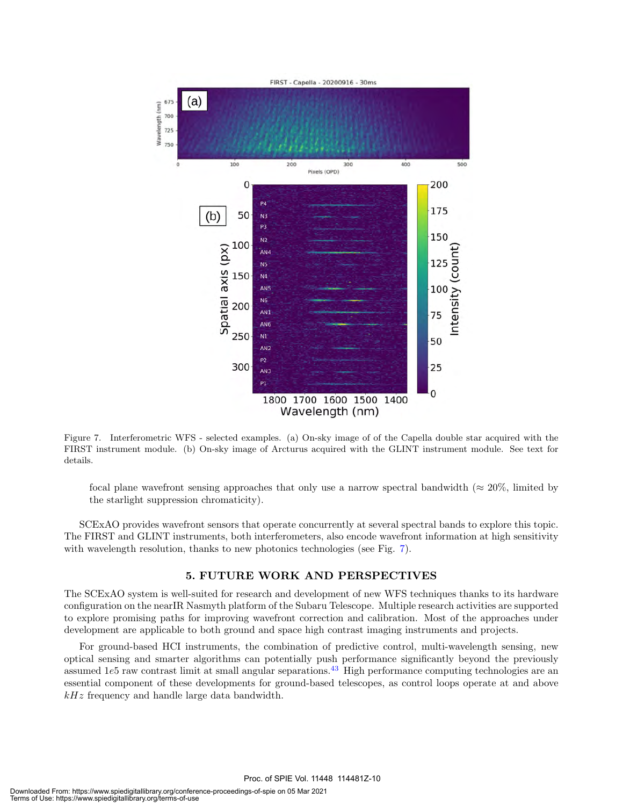

Figure 7. Interferometric WFS - selected examples. (a) On-sky image of of the Capella double star acquired with the FIRST instrument module. (b) On-sky image of Arcturus acquired with the GLINT instrument module. See text for details.

focal plane wavefront sensing approaches that only use a narrow spectral bandwidth ( $\approx 20\%$ , limited by the starlight suppression chromaticity).

SCExAO provides wavefront sensors that operate concurrently at several spectral bands to explore this topic. The FIRST and GLINT instruments, both interferometers, also encode wavefront information at high sensitivity with wavelength resolution, thanks to new photonics technologies (see Fig. 7).

#### 5. FUTURE WORK AND PERSPECTIVES

The SCExAO system is well-suited for research and development of new WFS techniques thanks to its hardware configuration on the nearIR Nasmyth platform of the Subaru Telescope. Multiple research activities are supported to explore promising paths for improving wavefront correction and calibration. Most of the approaches under development are applicable to both ground and space high contrast imaging instruments and projects.

For ground-based HCI instruments, the combination of predictive control, multi-wavelength sensing, new optical sensing and smarter algorithms can potentially push performance significantly beyond the previously assumed 1e5 raw contrast limit at small angular separations.<sup>43</sup> High performance computing technologies are an essential component of these developments for ground-based telescopes, as control loops operate at and above  $kHz$  frequency and handle large data bandwidth.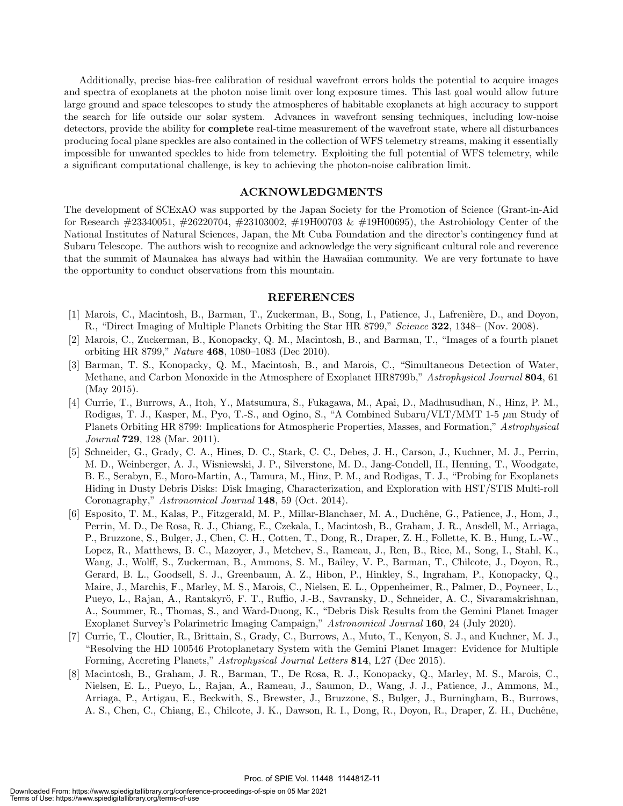Additionally, precise bias-free calibration of residual wavefront errors holds the potential to acquire images and spectra of exoplanets at the photon noise limit over long exposure times. This last goal would allow future large ground and space telescopes to study the atmospheres of habitable exoplanets at high accuracy to support the search for life outside our solar system. Advances in wavefront sensing techniques, including low-noise detectors, provide the ability for **complete** real-time measurement of the wavefront state, where all disturbances producing focal plane speckles are also contained in the collection of WFS telemetry streams, making it essentially impossible for unwanted speckles to hide from telemetry. Exploiting the full potential of WFS telemetry, while a significant computational challenge, is key to achieving the photon-noise calibration limit.

#### ACKNOWLEDGMENTS

The development of SCExAO was supported by the Japan Society for the Promotion of Science (Grant-in-Aid for Research #23340051, #26220704, #23103002, #19H00703 & #19H00695), the Astrobiology Center of the National Institutes of Natural Sciences, Japan, the Mt Cuba Foundation and the director's contingency fund at Subaru Telescope. The authors wish to recognize and acknowledge the very significant cultural role and reverence that the summit of Maunakea has always had within the Hawaiian community. We are very fortunate to have the opportunity to conduct observations from this mountain.

#### REFERENCES

- [1] Marois, C., Macintosh, B., Barman, T., Zuckerman, B., Song, I., Patience, J., Lafrenière, D., and Doyon, R., "Direct Imaging of Multiple Planets Orbiting the Star HR 8799," Science 322, 1348– (Nov. 2008).
- [2] Marois, C., Zuckerman, B., Konopacky, Q. M., Macintosh, B., and Barman, T., "Images of a fourth planet orbiting HR 8799," Nature 468, 1080–1083 (Dec 2010).
- [3] Barman, T. S., Konopacky, Q. M., Macintosh, B., and Marois, C., "Simultaneous Detection of Water, Methane, and Carbon Monoxide in the Atmosphere of Exoplanet HR8799b," Astrophysical Journal 804, 61 (May 2015).
- [4] Currie, T., Burrows, A., Itoh, Y., Matsumura, S., Fukagawa, M., Apai, D., Madhusudhan, N., Hinz, P. M., Rodigas, T. J., Kasper, M., Pyo, T.-S., and Ogino, S., "A Combined Subaru/VLT/MMT 1-5 µm Study of Planets Orbiting HR 8799: Implications for Atmospheric Properties, Masses, and Formation," Astrophysical Journal 729, 128 (Mar. 2011).
- [5] Schneider, G., Grady, C. A., Hines, D. C., Stark, C. C., Debes, J. H., Carson, J., Kuchner, M. J., Perrin, M. D., Weinberger, A. J., Wisniewski, J. P., Silverstone, M. D., Jang-Condell, H., Henning, T., Woodgate, B. E., Serabyn, E., Moro-Martin, A., Tamura, M., Hinz, P. M., and Rodigas, T. J., "Probing for Exoplanets Hiding in Dusty Debris Disks: Disk Imaging, Characterization, and Exploration with HST/STIS Multi-roll Coronagraphy," Astronomical Journal 148, 59 (Oct. 2014).
- [6] Esposito, T. M., Kalas, P., Fitzgerald, M. P., Millar-Blanchaer, M. A., Duchˆene, G., Patience, J., Hom, J., Perrin, M. D., De Rosa, R. J., Chiang, E., Czekala, I., Macintosh, B., Graham, J. R., Ansdell, M., Arriaga, P., Bruzzone, S., Bulger, J., Chen, C. H., Cotten, T., Dong, R., Draper, Z. H., Follette, K. B., Hung, L.-W., Lopez, R., Matthews, B. C., Mazoyer, J., Metchev, S., Rameau, J., Ren, B., Rice, M., Song, I., Stahl, K., Wang, J., Wolff, S., Zuckerman, B., Ammons, S. M., Bailey, V. P., Barman, T., Chilcote, J., Doyon, R., Gerard, B. L., Goodsell, S. J., Greenbaum, A. Z., Hibon, P., Hinkley, S., Ingraham, P., Konopacky, Q., Maire, J., Marchis, F., Marley, M. S., Marois, C., Nielsen, E. L., Oppenheimer, R., Palmer, D., Poyneer, L., Pueyo, L., Rajan, A., Rantakyrö, F. T., Ruffio, J.-B., Savransky, D., Schneider, A. C., Sivaramakrishnan, A., Soummer, R., Thomas, S., and Ward-Duong, K., "Debris Disk Results from the Gemini Planet Imager Exoplanet Survey's Polarimetric Imaging Campaign," Astronomical Journal 160, 24 (July 2020).
- [7] Currie, T., Cloutier, R., Brittain, S., Grady, C., Burrows, A., Muto, T., Kenyon, S. J., and Kuchner, M. J., "Resolving the HD 100546 Protoplanetary System with the Gemini Planet Imager: Evidence for Multiple Forming, Accreting Planets," Astrophysical Journal Letters 814, L27 (Dec 2015).
- [8] Macintosh, B., Graham, J. R., Barman, T., De Rosa, R. J., Konopacky, Q., Marley, M. S., Marois, C., Nielsen, E. L., Pueyo, L., Rajan, A., Rameau, J., Saumon, D., Wang, J. J., Patience, J., Ammons, M., Arriaga, P., Artigau, E., Beckwith, S., Brewster, J., Bruzzone, S., Bulger, J., Burningham, B., Burrows, A. S., Chen, C., Chiang, E., Chilcote, J. K., Dawson, R. I., Dong, R., Doyon, R., Draper, Z. H., Duchêne,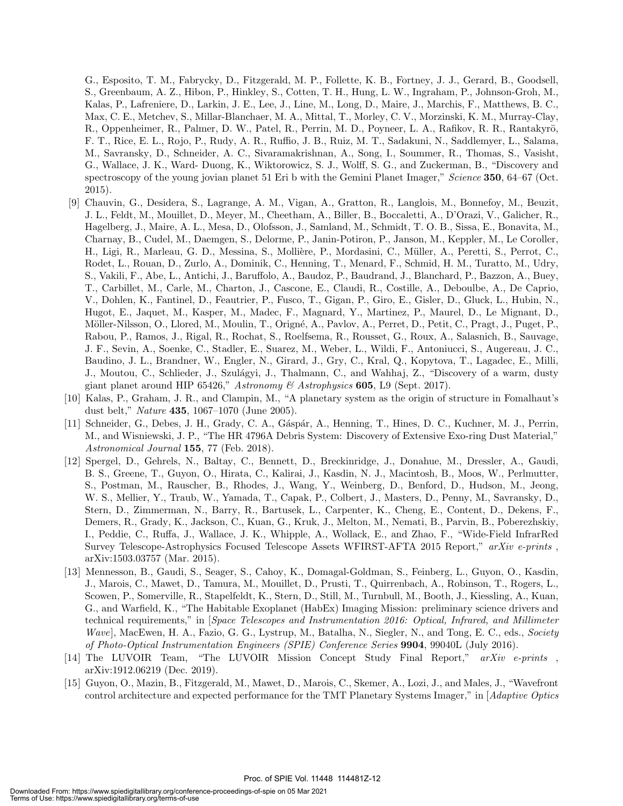G., Esposito, T. M., Fabrycky, D., Fitzgerald, M. P., Follette, K. B., Fortney, J. J., Gerard, B., Goodsell, S., Greenbaum, A. Z., Hibon, P., Hinkley, S., Cotten, T. H., Hung, L. W., Ingraham, P., Johnson-Groh, M., Kalas, P., Lafreniere, D., Larkin, J. E., Lee, J., Line, M., Long, D., Maire, J., Marchis, F., Matthews, B. C., Max, C. E., Metchev, S., Millar-Blanchaer, M. A., Mittal, T., Morley, C. V., Morzinski, K. M., Murray-Clay, R., Oppenheimer, R., Palmer, D. W., Patel, R., Perrin, M. D., Poyneer, L. A., Rafikov, R. R., Rantakyrö, F. T., Rice, E. L., Rojo, P., Rudy, A. R., Ruffio, J. B., Ruiz, M. T., Sadakuni, N., Saddlemyer, L., Salama, M., Savransky, D., Schneider, A. C., Sivaramakrishnan, A., Song, I., Soummer, R., Thomas, S., Vasisht, G., Wallace, J. K., Ward- Duong, K., Wiktorowicz, S. J., Wolff, S. G., and Zuckerman, B., "Discovery and spectroscopy of the young jovian planet 51 Eri b with the Gemini Planet Imager," Science  $350, 64-67$  (Oct. 2015).

- [9] Chauvin, G., Desidera, S., Lagrange, A. M., Vigan, A., Gratton, R., Langlois, M., Bonnefoy, M., Beuzit, J. L., Feldt, M., Mouillet, D., Meyer, M., Cheetham, A., Biller, B., Boccaletti, A., D'Orazi, V., Galicher, R., Hagelberg, J., Maire, A. L., Mesa, D., Olofsson, J., Samland, M., Schmidt, T. O. B., Sissa, E., Bonavita, M., Charnay, B., Cudel, M., Daemgen, S., Delorme, P., Janin-Potiron, P., Janson, M., Keppler, M., Le Coroller, H., Ligi, R., Marleau, G. D., Messina, S., Mollière, P., Mordasini, C., Müller, A., Peretti, S., Perrot, C., Rodet, L., Rouan, D., Zurlo, A., Dominik, C., Henning, T., Menard, F., Schmid, H. M., Turatto, M., Udry, S., Vakili, F., Abe, L., Antichi, J., Baruffolo, A., Baudoz, P., Baudrand, J., Blanchard, P., Bazzon, A., Buey, T., Carbillet, M., Carle, M., Charton, J., Cascone, E., Claudi, R., Costille, A., Deboulbe, A., De Caprio, V., Dohlen, K., Fantinel, D., Feautrier, P., Fusco, T., Gigan, P., Giro, E., Gisler, D., Gluck, L., Hubin, N., Hugot, E., Jaquet, M., Kasper, M., Madec, F., Magnard, Y., Martinez, P., Maurel, D., Le Mignant, D., Möller-Nilsson, O., Llored, M., Moulin, T., Origné, A., Pavlov, A., Perret, D., Petit, C., Pragt, J., Puget, P., Rabou, P., Ramos, J., Rigal, R., Rochat, S., Roelfsema, R., Rousset, G., Roux, A., Salasnich, B., Sauvage, J. F., Sevin, A., Soenke, C., Stadler, E., Suarez, M., Weber, L., Wildi, F., Antoniucci, S., Augereau, J. C., Baudino, J. L., Brandner, W., Engler, N., Girard, J., Gry, C., Kral, Q., Kopytova, T., Lagadec, E., Milli, J., Moutou, C., Schlieder, J., Szulágyi, J., Thalmann, C., and Wahhaj, Z., "Discovery of a warm, dusty giant planet around HIP 65426," Astronomy & Astrophysics 605, L9 (Sept. 2017).
- [10] Kalas, P., Graham, J. R., and Clampin, M., "A planetary system as the origin of structure in Fomalhaut's dust belt," Nature 435, 1067–1070 (June 2005).
- [11] Schneider, G., Debes, J. H., Grady, C. A., Gáspár, A., Henning, T., Hines, D. C., Kuchner, M. J., Perrin, M., and Wisniewski, J. P., "The HR 4796A Debris System: Discovery of Extensive Exo-ring Dust Material," Astronomical Journal 155, 77 (Feb. 2018).
- [12] Spergel, D., Gehrels, N., Baltay, C., Bennett, D., Breckinridge, J., Donahue, M., Dressler, A., Gaudi, B. S., Greene, T., Guyon, O., Hirata, C., Kalirai, J., Kasdin, N. J., Macintosh, B., Moos, W., Perlmutter, S., Postman, M., Rauscher, B., Rhodes, J., Wang, Y., Weinberg, D., Benford, D., Hudson, M., Jeong, W. S., Mellier, Y., Traub, W., Yamada, T., Capak, P., Colbert, J., Masters, D., Penny, M., Savransky, D., Stern, D., Zimmerman, N., Barry, R., Bartusek, L., Carpenter, K., Cheng, E., Content, D., Dekens, F., Demers, R., Grady, K., Jackson, C., Kuan, G., Kruk, J., Melton, M., Nemati, B., Parvin, B., Poberezhskiy, I., Peddie, C., Ruffa, J., Wallace, J. K., Whipple, A., Wollack, E., and Zhao, F., "Wide-Field InfrarRed Survey Telescope-Astrophysics Focused Telescope Assets WFIRST-AFTA 2015 Report," arXiv e-prints . arXiv:1503.03757 (Mar. 2015).
- [13] Mennesson, B., Gaudi, S., Seager, S., Cahoy, K., Domagal-Goldman, S., Feinberg, L., Guyon, O., Kasdin, J., Marois, C., Mawet, D., Tamura, M., Mouillet, D., Prusti, T., Quirrenbach, A., Robinson, T., Rogers, L., Scowen, P., Somerville, R., Stapelfeldt, K., Stern, D., Still, M., Turnbull, M., Booth, J., Kiessling, A., Kuan, G., and Warfield, K., "The Habitable Exoplanet (HabEx) Imaging Mission: preliminary science drivers and technical requirements," in [Space Telescopes and Instrumentation 2016: Optical, Infrared, and Millimeter Wave], MacEwen, H. A., Fazio, G. G., Lystrup, M., Batalha, N., Siegler, N., and Tong, E. C., eds., Society of Photo-Optical Instrumentation Engineers (SPIE) Conference Series 9904, 99040L (July 2016).
- [14] The LUVOIR Team, "The LUVOIR Mission Concept Study Final Report," arXiv e-prints, arXiv:1912.06219 (Dec. 2019).
- [15] Guyon, O., Mazin, B., Fitzgerald, M., Mawet, D., Marois, C., Skemer, A., Lozi, J., and Males, J., "Wavefront control architecture and expected performance for the TMT Planetary Systems Imager," in [Adaptive Optics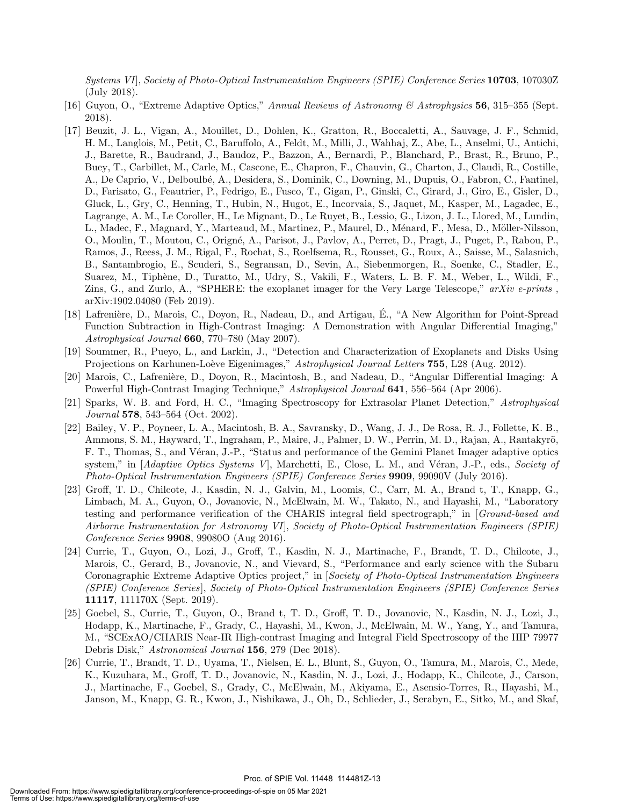Systems VI], Society of Photo-Optical Instrumentation Engineers (SPIE) Conference Series 10703, 107030Z (July 2018).

- [16] Guyon, O., "Extreme Adaptive Optics," Annual Reviews of Astronomy & Astrophysics 56, 315–355 (Sept. 2018).
- [17] Beuzit, J. L., Vigan, A., Mouillet, D., Dohlen, K., Gratton, R., Boccaletti, A., Sauvage, J. F., Schmid, H. M., Langlois, M., Petit, C., Baruffolo, A., Feldt, M., Milli, J., Wahhaj, Z., Abe, L., Anselmi, U., Antichi, J., Barette, R., Baudrand, J., Baudoz, P., Bazzon, A., Bernardi, P., Blanchard, P., Brast, R., Bruno, P., Buey, T., Carbillet, M., Carle, M., Cascone, E., Chapron, F., Chauvin, G., Charton, J., Claudi, R., Costille, A., De Caprio, V., Delboulbé, A., Desidera, S., Dominik, C., Downing, M., Dupuis, O., Fabron, C., Fantinel, D., Farisato, G., Feautrier, P., Fedrigo, E., Fusco, T., Gigan, P., Ginski, C., Girard, J., Giro, E., Gisler, D., Gluck, L., Gry, C., Henning, T., Hubin, N., Hugot, E., Incorvaia, S., Jaquet, M., Kasper, M., Lagadec, E., Lagrange, A. M., Le Coroller, H., Le Mignant, D., Le Ruyet, B., Lessio, G., Lizon, J. L., Llored, M., Lundin, L., Madec, F., Magnard, Y., Marteaud, M., Martinez, P., Maurel, D., Ménard, F., Mesa, D., Möller-Nilsson, O., Moulin, T., Moutou, C., Origné, A., Parisot, J., Pavlov, A., Perret, D., Pragt, J., Puget, P., Rabou, P., Ramos, J., Reess, J. M., Rigal, F., Rochat, S., Roelfsema, R., Rousset, G., Roux, A., Saisse, M., Salasnich, B., Santambrogio, E., Scuderi, S., Segransan, D., Sevin, A., Siebenmorgen, R., Soenke, C., Stadler, E., Suarez, M., Tiphène, D., Turatto, M., Udry, S., Vakili, F., Waters, L. B. F. M., Weber, L., Wildi, F., Zins, G., and Zurlo, A., "SPHERE: the exoplanet imager for the Very Large Telescope,"  $arXiv$  e-prints, arXiv:1902.04080 (Feb 2019).
- [18] Lafrenière, D., Marois, C., Doyon, R., Nadeau, D., and Artigau, E., "A New Algorithm for Point-Spread Function Subtraction in High-Contrast Imaging: A Demonstration with Angular Differential Imaging," Astrophysical Journal 660, 770–780 (May 2007).
- [19] Soummer, R., Pueyo, L., and Larkin, J., "Detection and Characterization of Exoplanets and Disks Using Projections on Karhunen-Loève Eigenimages," Astrophysical Journal Letters 755, L28 (Aug. 2012).
- [20] Marois, C., Lafrenière, D., Doyon, R., Macintosh, B., and Nadeau, D., "Angular Differential Imaging: A Powerful High-Contrast Imaging Technique," Astrophysical Journal 641, 556–564 (Apr 2006).
- [21] Sparks, W. B. and Ford, H. C., "Imaging Spectroscopy for Extrasolar Planet Detection," Astrophysical Journal 578, 543–564 (Oct. 2002).
- [22] Bailey, V. P., Poyneer, L. A., Macintosh, B. A., Savransky, D., Wang, J. J., De Rosa, R. J., Follette, K. B., Ammons, S. M., Hayward, T., Ingraham, P., Maire, J., Palmer, D. W., Perrin, M. D., Rajan, A., Rantakyrö, F. T., Thomas, S., and Véran, J.-P., "Status and performance of the Gemini Planet Imager adaptive optics system," in  $[Adaptive Optics Systems V]$ , Marchetti, E., Close, L. M., and Véran, J.-P., eds., Society of Photo-Optical Instrumentation Engineers (SPIE) Conference Series 9909, 99090V (July 2016).
- [23] Groff, T. D., Chilcote, J., Kasdin, N. J., Galvin, M., Loomis, C., Carr, M. A., Brand t, T., Knapp, G., Limbach, M. A., Guyon, O., Jovanovic, N., McElwain, M. W., Takato, N., and Hayashi, M., "Laboratory testing and performance verification of the CHARIS integral field spectrograph," in [Ground-based and Airborne Instrumentation for Astronomy VI], Society of Photo-Optical Instrumentation Engineers (SPIE) Conference Series 9908, 99080O (Aug 2016).
- [24] Currie, T., Guyon, O., Lozi, J., Groff, T., Kasdin, N. J., Martinache, F., Brandt, T. D., Chilcote, J., Marois, C., Gerard, B., Jovanovic, N., and Vievard, S., "Performance and early science with the Subaru Coronagraphic Extreme Adaptive Optics project," in [Society of Photo-Optical Instrumentation Engineers (SPIE) Conference Series ], Society of Photo-Optical Instrumentation Engineers (SPIE) Conference Series 11117, 111170X (Sept. 2019).
- [25] Goebel, S., Currie, T., Guyon, O., Brand t, T. D., Groff, T. D., Jovanovic, N., Kasdin, N. J., Lozi, J., Hodapp, K., Martinache, F., Grady, C., Hayashi, M., Kwon, J., McElwain, M. W., Yang, Y., and Tamura, M., "SCExAO/CHARIS Near-IR High-contrast Imaging and Integral Field Spectroscopy of the HIP 79977 Debris Disk," Astronomical Journal 156, 279 (Dec 2018).
- [26] Currie, T., Brandt, T. D., Uyama, T., Nielsen, E. L., Blunt, S., Guyon, O., Tamura, M., Marois, C., Mede, K., Kuzuhara, M., Groff, T. D., Jovanovic, N., Kasdin, N. J., Lozi, J., Hodapp, K., Chilcote, J., Carson, J., Martinache, F., Goebel, S., Grady, C., McElwain, M., Akiyama, E., Asensio-Torres, R., Hayashi, M., Janson, M., Knapp, G. R., Kwon, J., Nishikawa, J., Oh, D., Schlieder, J., Serabyn, E., Sitko, M., and Skaf,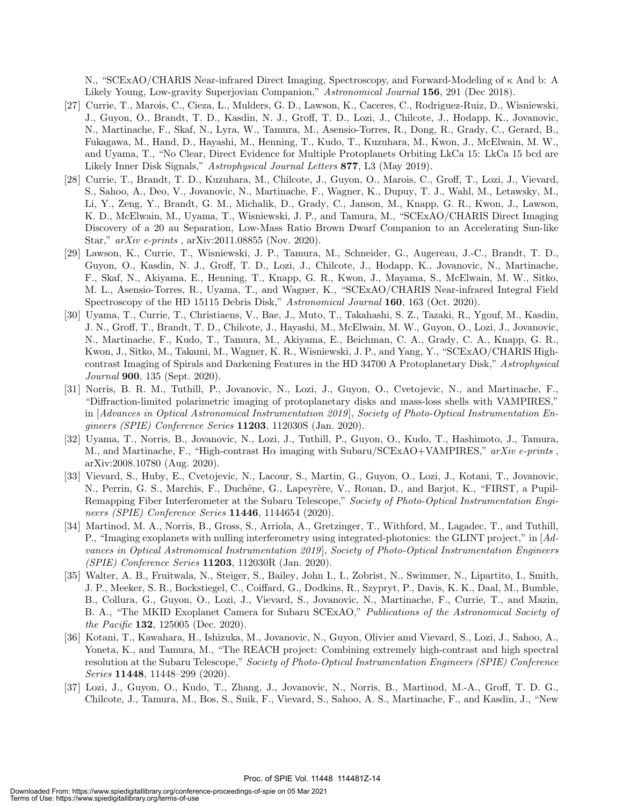N., "SCExAO/CHARIS Near-infrared Direct Imaging, Spectroscopy, and Forward-Modeling of  $\kappa$  And b: A Likely Young, Low-gravity Superjovian Companion," Astronomical Journal 156, 291 (Dec 2018).

- [27] Currie, T., Marois, C., Cieza, L., Mulders, G. D., Lawson, K., Caceres, C., Rodriguez-Ruiz, D., Wisniewski, J., Guyon, O., Brandt, T. D., Kasdin, N. J., Groff, T. D., Lozi, J., Chilcote, J., Hodapp, K., Jovanovic, N., Martinache, F., Skaf, N., Lyra, W., Tamura, M., Asensio-Torres, R., Dong, R., Grady, C., Gerard, B., Fukagawa, M., Hand, D., Hayashi, M., Henning, T., Kudo, T., Kuzuhara, M., Kwon, J., McElwain, M. W., and Uyama, T., "No Clear, Direct Evidence for Multiple Protoplanets Orbiting LkCa 15: LkCa 15 bcd are Likely Inner Disk Signals," Astrophysical Journal Letters 877, L3 (May 2019).
- [28] Currie, T., Brandt, T. D., Kuzuhara, M., Chilcote, J., Guyon, O., Marois, C., Groff, T., Lozi, J., Vievard, S., Sahoo, A., Deo, V., Jovanovic, N., Martinache, F., Wagner, K., Dupuy, T. J., Wahl, M., Letawsky, M., Li, Y., Zeng, Y., Brandt, G. M., Michalik, D., Grady, C., Janson, M., Knapp, G. R., Kwon, J., Lawson, K. D., McElwain, M., Uyama, T., Wisniewski, J. P., and Tamura, M., "SCExAO/CHARIS Direct Imaging Discovery of a 20 au Separation, Low-Mass Ratio Brown Dwarf Companion to an Accelerating Sun-like Star," arXiv e-prints , arXiv:2011.08855 (Nov. 2020).
- [29] Lawson, K., Currie, T., Wisniewski, J. P., Tamura, M., Schneider, G., Augereau, J.-C., Brandt, T. D., Guyon, O., Kasdin, N. J., Groff, T. D., Lozi, J., Chilcote, J., Hodapp, K., Jovanovic, N., Martinache, F., Skaf, N., Akiyama, E., Henning, T., Knapp, G. R., Kwon, J., Mayama, S., McElwain, M. W., Sitko, M. L., Asensio-Torres, R., Uyama, T., and Wagner, K., "SCExAO/CHARIS Near-infrared Integral Field Spectroscopy of the HD 15115 Debris Disk," Astronomical Journal 160, 163 (Oct. 2020).
- [30] Uyama, T., Currie, T., Christiaens, V., Bae, J., Muto, T., Takahashi, S. Z., Tazaki, R., Ygouf, M., Kasdin, J. N., Groff, T., Brandt, T. D., Chilcote, J., Hayashi, M., McElwain, M. W., Guyon, O., Lozi, J., Jovanovic, N., Martinache, F., Kudo, T., Tamura, M., Akiyama, E., Beichman, C. A., Grady, C. A., Knapp, G. R., Kwon, J., Sitko, M., Takami, M., Wagner, K. R., Wisniewski, J. P., and Yang, Y., "SCExAO/CHARIS Highcontrast Imaging of Spirals and Darkening Features in the HD 34700 A Protoplanetary Disk," Astrophysical Journal 900, 135 (Sept. 2020).
- [31] Norris, B. R. M., Tuthill, P., Jovanovic, N., Lozi, J., Guyon, O., Cvetojevic, N., and Martinache, F., "Diffraction-limited polarimetric imaging of protoplanetary disks and mass-loss shells with VAMPIRES," in [Advances in Optical Astronomical Instrumentation 2019], Society of Photo-Optical Instrumentation Engineers (SPIE) Conference Series 11203, 112030S (Jan. 2020).
- [32] Uyama, T., Norris, B., Jovanovic, N., Lozi, J., Tuthill, P., Guyon, O., Kudo, T., Hashimoto, J., Tamura, M., and Martinache, F., "High-contrast H $\alpha$  imaging with Subaru/SCExAO+VAMPIRES," arXiv e-prints, arXiv:2008.10780 (Aug. 2020).
- [33] Vievard, S., Huby, E., Cvetojevic, N., Lacour, S., Martin, G., Guyon, O., Lozi, J., Kotani, T., Jovanovic, N., Perrin, G. S., Marchis, F., Duchêne, G., Lapeyrère, V., Rouan, D., and Barjot, K., "FIRST, a Pupil-Remapping Fiber Interferometer at the Subaru Telescope," Society of Photo-Optical Instrumentation Engineers *(SPIE)* Conference Series **11446**, 1144654 (2020).
- [34] Martinod, M. A., Norris, B., Gross, S., Arriola, A., Gretzinger, T., Withford, M., Lagadec, T., and Tuthill, P., "Imaging exoplanets with nulling interferometry using integrated-photonics: the GLINT project," in [Advances in Optical Astronomical Instrumentation 2019], Society of Photo-Optical Instrumentation Engineers (SPIE) Conference Series 11203, 112030R (Jan. 2020).
- [35] Walter, A. B., Fruitwala, N., Steiger, S., Bailey, John I., I., Zobrist, N., Swimmer, N., Lipartito, I., Smith, J. P., Meeker, S. R., Bockstiegel, C., Coiffard, G., Dodkins, R., Szypryt, P., Davis, K. K., Daal, M., Bumble, B., Collura, G., Guyon, O., Lozi, J., Vievard, S., Jovanovic, N., Martinache, F., Currie, T., and Mazin, B. A., "The MKID Exoplanet Camera for Subaru SCExAO," Publications of the Astronomical Society of the Pacific 132, 125005 (Dec. 2020).
- [36] Kotani, T., Kawahara, H., Ishizuka, M., Jovanovic, N., Guyon, Olivier amd Vievard, S., Lozi, J., Sahoo, A., Yoneta, K., and Tamura, M., "The REACH project: Combining extremely high-contrast and high spectral resolution at the Subaru Telescope," Society of Photo-Optical Instrumentation Engineers (SPIE) Conference Series 11448, 11448–299 (2020).
- [37] Lozi, J., Guyon, O., Kudo, T., Zhang, J., Jovanovic, N., Norris, B., Martinod, M.-A., Groff, T. D. G., Chilcote, J., Tamura, M., Bos, S., Snik, F., Vievard, S., Sahoo, A. S., Martinache, F., and Kasdin, J., "New